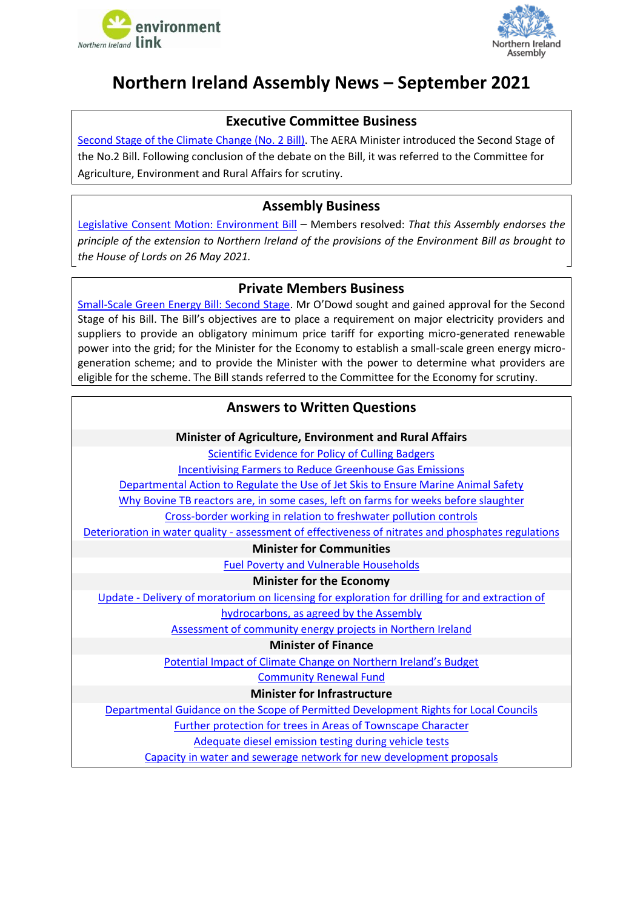



# <span id="page-0-0"></span>**Northern Ireland Assembly News – September 2021**

# **Executive Committee Business**

[Second Stage of the Climate Change \(No. 2](http://aims.niassembly.gov.uk/officialreport/report.aspx?&eveDate=2021-09-27&docID=350780#3628943) Bill). The AERA Minister introduced the Second Stage of the No.2 Bill. Following conclusion of the debate on the Bill, it was referred to the Committee for Agriculture, Environment and Rural Affairs for scrutiny.

### **Assembly Business**

[Legislative Consent Motion: Environment Bill](http://aims.niassembly.gov.uk/officialreport/report.aspx?&eveDate=2021/09/20&docID=349761#3638782) – Members resolved: *That this Assembly endorses the principle of the extension to Northern Ireland of the provisions of the Environment Bill as brought to the House of Lords on 26 May 2021.*

### **Private Members Business**

[Small-Scale Green Energy Bill: Second Stage.](http://aims.niassembly.gov.uk/officialreport/report.aspx?&eveDate=2021/09/28&docID=350783#3635166) Mr O'Dowd sought and gained approval for the Second Stage of his Bill. The Bill's objectives are to place a requirement on major electricity providers and suppliers to provide an obligatory minimum price tariff for exporting micro-generated renewable power into the grid; for the Minister for the Economy to establish a small-scale green energy microgeneration scheme; and to provide the Minister with the power to determine what providers are eligible for the scheme. The Bill stands referred to the Committee for the Economy for scrutiny.

# **Answers to Written Questions**

**Minister of Agriculture, Environment and Rural Affairs**

[Scientific Evidence for Policy of Culling Badgers](http://aims.niassembly.gov.uk/questions/printquestionsummary.aspx?docid=350063)

Incentivising [Farmers to Reduce Greenhouse Gas Emissions](http://aims.niassembly.gov.uk/questions/printquestionsummary.aspx?docid=350059)

[Departmental Action to Regulate the Use of Jet Skis to Ensure Marine Animal Safety](http://aims.niassembly.gov.uk/questions/printquestionsummary.aspx?docid=349142)

[Why Bovine TB reactors are, in some cases, left on farms for weeks before slaughter](http://aims.niassembly.gov.uk/questions/printquestionsummary.aspx?docid=349241)

[Cross-border working in relation to freshwater pollution controls](http://aims.niassembly.gov.uk/questions/printquestionsummary.aspx?docid=349173)

Deterioration in water quality - [assessment of effectiveness of nitrates and phosphates regulations](http://aims.niassembly.gov.uk/questions/printquestionsummary.aspx?docid=349172)

**Minister for Communities**

[Fuel Poverty and Vulnerable Households](http://aims.niassembly.gov.uk/questions/printquestionsummary.aspx?docid=349204)

**Minister for the Economy**

Update - [Delivery of moratorium on licensing for exploration for drilling for and extraction of](http://aims.niassembly.gov.uk/questions/printquestionsummary.aspx?docid=350170)  [hydrocarbons, as agreed by the Assembly](http://aims.niassembly.gov.uk/questions/printquestionsummary.aspx?docid=350170)

[Assessment of community energy projects in Northern Ireland](http://aims.niassembly.gov.uk/questions/printquestionsummary.aspx?docid=349171)

#### **Minister of Finance**

[Potential Impact of Climate C](http://aims.niassembly.gov.uk/questions/printquestionsummary.aspx?docid=349167)hange on Northern Ireland's Budget

[Community Renewal Fund](http://aims.niassembly.gov.uk/questions/printquestionsummary.aspx?docid=349913)

#### **Minister for Infrastructure**

[Departmental Guidance on the Scope of Permitted Development Rights for Local Councils](http://aims.niassembly.gov.uk/questions/printquestionsummary.aspx?docid=349164)

[Further protection for](http://aims.niassembly.gov.uk/questions/printquestionsummary.aspx?docid=349922) trees in Areas of Townscape Character

[Adequate diesel emission testing during vehicle tests](http://aims.niassembly.gov.uk/questions/printquestionsummary.aspx?docid=349482)

[Capacity in water and sewerage network for new development proposals](http://aims.niassembly.gov.uk/questions/printquestionsummary.aspx?docid=349265)